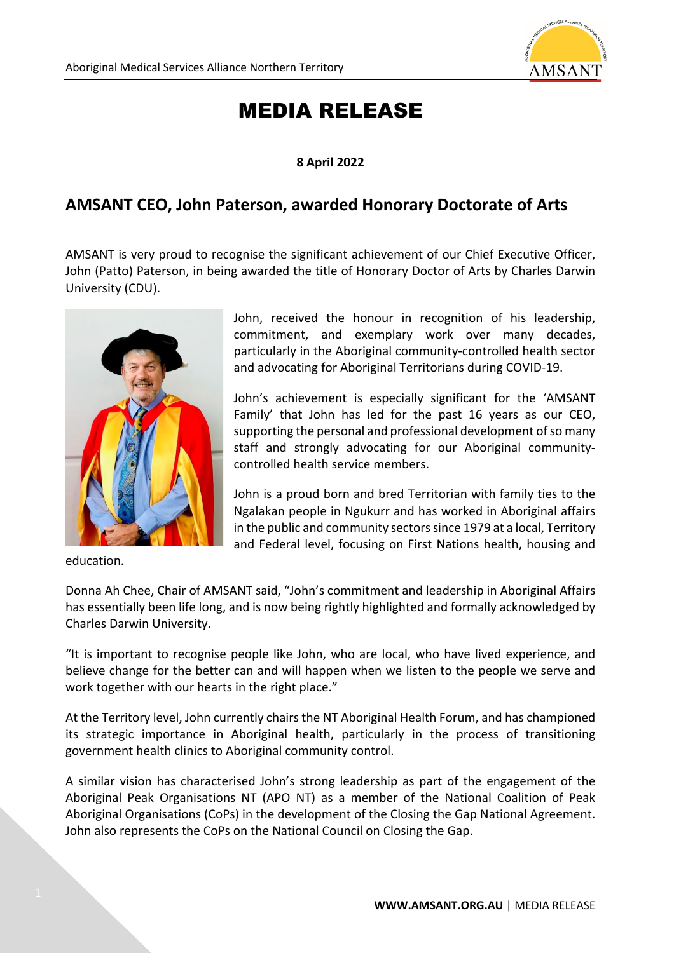

## MEDIA RELEASE

## **8 April 2022**

## **AMSANT CEO, John Paterson, awarded Honorary Doctorate of Arts**

AMSANT is very proud to recognise the significant achievement of our Chief Executive Officer, John (Patto) Paterson, in being awarded the title of Honorary Doctor of Arts by Charles Darwin University (CDU).



education.

John, received the honour in recognition of his leadership, commitment, and exemplary work over many decades, particularly in the Aboriginal community-controlled health sector and advocating for Aboriginal Territorians during COVID-19.

John's achievement is especially significant for the 'AMSANT Family' that John has led for the past 16 years as our CEO, supporting the personal and professional development of so many staff and strongly advocating for our Aboriginal communitycontrolled health service members.

John is a proud born and bred Territorian with family ties to the Ngalakan people in Ngukurr and has worked in Aboriginal affairs in the public and community sectors since 1979 at a local, Territory and Federal level, focusing on First Nations health, housing and

Donna Ah Chee, Chair of AMSANT said, "John's commitment and leadership in Aboriginal Affairs has essentially been life long, and is now being rightly highlighted and formally acknowledged by Charles Darwin University.

"It is important to recognise people like John, who are local, who have lived experience, and believe change for the better can and will happen when we listen to the people we serve and work together with our hearts in the right place."

At the Territory level, John currently chairs the NT Aboriginal Health Forum, and has championed its strategic importance in Aboriginal health, particularly in the process of transitioning government health clinics to Aboriginal community control.

A similar vision has characterised John's strong leadership as part of the engagement of the Aboriginal Peak Organisations NT (APO NT) as a member of the National Coalition of Peak Aboriginal Organisations (CoPs) in the development of the Closing the Gap National Agreement. John also represents the CoPs on the National Council on Closing the Gap.